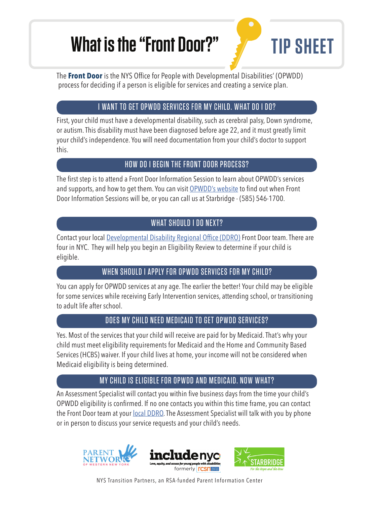# What is the "Front Door?" **TIP SHEET**



The **Front Door** is the NYS Office for People with Developmental Disabilities' (OPWDD) process for deciding if a person is eligible for services and creating a service plan.

# I WANT TO GET OPWDD SERVICES FOR MY CHILD. WHAT DO I DO?

First, your child must have a developmental disability, such as cerebral palsy, Down syndrome, or autism. This disability must have been diagnosed before age 22, and it must greatly limit your child's independence. You will need documentation from your child's doctor to support this.

## HOW DO I BEGIN THE FRONT DOOR PROCESS?

The first step is to attend a Front Door Information Session to learn about OPWDD's services and supports, and how to get them. You can visit OPWDD's website to find out when Front Door Information Sessions will be, or you can call us at Starbridge - (585) 546-1700.

# WHAT SHOULD I DO NEXT?

Contact your local Developmental Disability Regional Office (DDRO) Front Door team. There are four in NYC. They will help you begin an Eligibility Review to determine if your child is eligible.

# WHEN SHOULD I APPLY FOR OPWDD SERVICES FOR MY CHILD?

You can apply for OPWDD services at any age. The earlier the better! Your child may be eligible for some services while receiving Early Intervention services, attending school, or transitioning to adult life after school.

## DOES MY CHILD NEED MEDICAID TO GET OPWDD SERVICES?

Yes. Most of the services that your child will receive are paid for by Medicaid. That's why your child must meet eligibility requirements for Medicaid and the Home and Community Based Services (HCBS) waiver. If your child lives at home, your income will not be considered when Medicaid eligibility is being determined.

# MY CHILD IS ELIGIBLE FOR OPWDD AND MEDICAID. NOW WHAT?

An Assessment Specialist will contact you within five business days from the time your child's OPWDD eligibility is confirmed. If no one contacts you within this time frame, you can contact the Front Door team at your **local DDRO**. The Assessment Specialist will talk with you by phone or in person to discuss your service requests and your child's needs.



NYS Transition Partners, an RSA-funded Parent Information Center